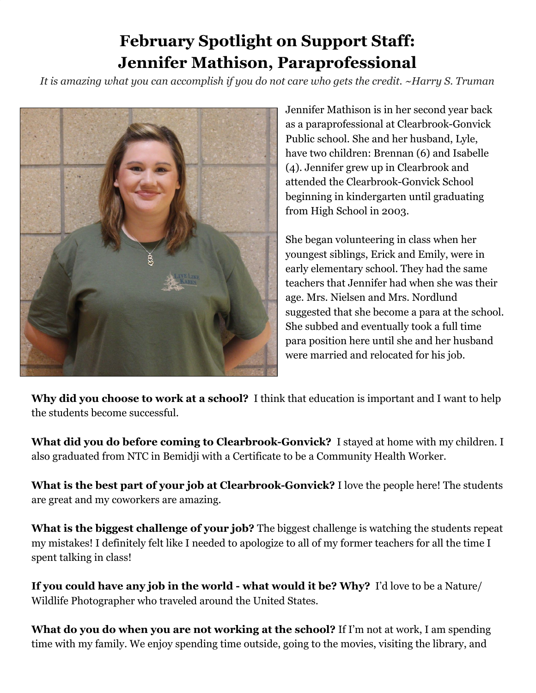## **February Spotlight on Support Staff: Jennifer Mathison, Paraprofessional**

*It is amazing what you can accomplish if you do not care who gets the credit. ~Harry S. Truman*



Jennifer Mathison is in her second year back as a paraprofessional at Clearbrook-Gonvick Public school. She and her husband, Lyle, have two children: Brennan (6) and Isabelle (4). Jennifer grew up in Clearbrook and attended the Clearbrook-Gonvick School beginning in kindergarten until graduating from High School in 2003.

She began volunteering in class when her youngest siblings, Erick and Emily, were in early elementary school. They had the same teachers that Jennifer had when she was their age. Mrs. Nielsen and Mrs. Nordlund suggested that she become a para at the school. She subbed and eventually took a full time para position here until she and her husband were married and relocated for his job.

**Why did you choose to work at a school?** I think that education is important and I want to help the students become successful.

**What did you do before coming to Clearbrook-Gonvick?** I stayed at home with my children. I also graduated from NTC in Bemidji with a Certificate to be a Community Health Worker.

**What is the best part of your job at Clearbrook-Gonvick?** I love the people here! The students are great and my coworkers are amazing.

**What is the biggest challenge of your job?** The biggest challenge is watching the students repeat my mistakes! I definitely felt like I needed to apologize to all of my former teachers for all the time I spent talking in class!

**If you could have any job in the world - what would it be? Why?** I'd love to be a Nature/ Wildlife Photographer who traveled around the United States.

**What do you do when you are not working at the school?** If I'm not at work, I am spending time with my family. We enjoy spending time outside, going to the movies, visiting the library, and